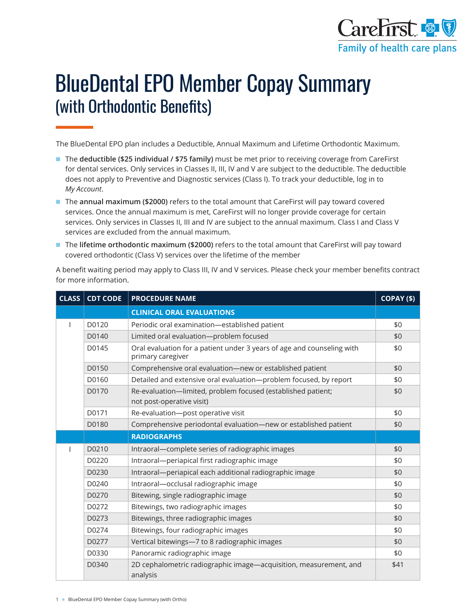

# BlueDental EPO Member Copay Summary (with Orthodontic Benefits)

The BlueDental EPO plan includes a Deductible, Annual Maximum and Lifetime Orthodontic Maximum.

- The **deductible (\$25 individual / \$75 family)** must be met prior to receiving coverage from CareFirst for dental services. Only services in Classes II, III, IV and V are subject to the deductible. The deductible does not apply to Preventive and Diagnostic services (Class I). To track your deductible, log in to *My Account*.
- The **annual maximum (\$2000)** refers to the total amount that CareFirst will pay toward covered services. Once the annual maximum is met, CareFirst will no longer provide coverage for certain services. Only services in Classes II, III and IV are subject to the annual maximum. Class I and Class V services are excluded from the annual maximum.
- The **lifetime orthodontic maximum (\$2000)** refers to the total amount that CareFirst will pay toward covered orthodontic (Class V) services over the lifetime of the member

A benefit waiting period may apply to Class III, IV and V services. Please check your member benefits contract for more information.

| <b>CLASS</b> | <b>CDT CODE</b> | <b>PROCEDURE NAME</b>                                                                       | COPAY (\$) |
|--------------|-----------------|---------------------------------------------------------------------------------------------|------------|
|              |                 | <b>CLINICAL ORAL EVALUATIONS</b>                                                            |            |
|              | D0120           | Periodic oral examination-established patient                                               | \$0        |
|              | D0140           | Limited oral evaluation-problem focused                                                     | \$0        |
|              | D0145           | Oral evaluation for a patient under 3 years of age and counseling with<br>primary caregiver | \$0        |
|              | D0150           | Comprehensive oral evaluation-new or established patient                                    | \$0        |
|              | D0160           | Detailed and extensive oral evaluation-problem focused, by report                           | \$0        |
|              | D0170           | Re-evaluation-limited, problem focused (established patient;<br>not post-operative visit)   | \$0        |
|              | D0171           | Re-evaluation-post operative visit                                                          | \$0        |
|              | D0180           | Comprehensive periodontal evaluation-new or established patient                             | \$0        |
|              |                 | <b>RADIOGRAPHS</b>                                                                          |            |
|              | D0210           | Intraoral-complete series of radiographic images                                            | \$0        |
|              | D0220           | Intraoral-periapical first radiographic image                                               | \$0        |
|              | D0230           | Intraoral-periapical each additional radiographic image                                     | \$0        |
|              | D0240           | Intraoral-occlusal radiographic image                                                       | \$0        |
|              | D0270           | Bitewing, single radiographic image                                                         | \$0        |
|              | D0272           | Bitewings, two radiographic images                                                          | \$0        |
|              | D0273           | Bitewings, three radiographic images                                                        | \$0        |
|              | D0274           | Bitewings, four radiographic images                                                         | \$0        |
|              | D0277           | Vertical bitewings-7 to 8 radiographic images                                               | \$0        |
|              | D0330           | Panoramic radiographic image                                                                | \$0        |
|              | D0340           | 2D cephalometric radiographic image-acquisition, measurement, and<br>analysis               | \$41       |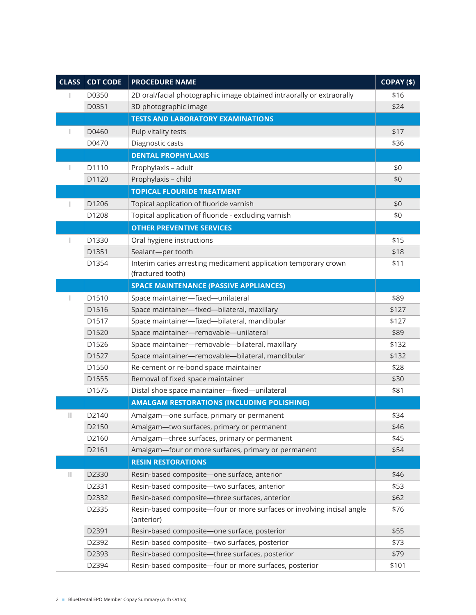| CLASS <sup> </sup> | <b>CDT CODE</b> | <b>PROCEDURE NAME</b>                                                                | COPAY (\$) |
|--------------------|-----------------|--------------------------------------------------------------------------------------|------------|
|                    | D0350           | 2D oral/facial photographic image obtained intraorally or extraorally                | \$16       |
|                    | D0351           | 3D photographic image                                                                | \$24       |
|                    |                 | <b>TESTS AND LABORATORY EXAMINATIONS</b>                                             |            |
|                    | D0460           | Pulp vitality tests                                                                  | \$17       |
|                    | D0470           | Diagnostic casts                                                                     | \$36       |
|                    |                 | <b>DENTAL PROPHYLAXIS</b>                                                            |            |
|                    | D1110           | Prophylaxis - adult                                                                  | \$0        |
|                    | D1120           | Prophylaxis - child                                                                  | \$0        |
|                    |                 | <b>TOPICAL FLOURIDE TREATMENT</b>                                                    |            |
|                    | D1206           | Topical application of fluoride varnish                                              | \$0        |
|                    | D1208           | Topical application of fluoride - excluding varnish                                  | \$0        |
|                    |                 | <b>OTHER PREVENTIVE SERVICES</b>                                                     |            |
|                    | D1330           | Oral hygiene instructions                                                            | \$15       |
|                    | D1351           | Sealant-per tooth                                                                    | \$18       |
|                    | D1354           | Interim caries arresting medicament application temporary crown                      | \$11       |
|                    |                 | (fractured tooth)                                                                    |            |
|                    |                 | <b>SPACE MAINTENANCE (PASSIVE APPLIANCES)</b>                                        |            |
|                    | D1510           | Space maintainer-fixed-unilateral                                                    | \$89       |
|                    | D1516           | Space maintainer-fixed-bilateral, maxillary                                          | \$127      |
|                    | D1517           | Space maintainer-fixed-bilateral, mandibular                                         | \$127      |
|                    | D1520           | Space maintainer-removable-unilateral                                                | \$89       |
|                    | D1526           | Space maintainer-removable-bilateral, maxillary                                      | \$132      |
|                    | D1527           | Space maintainer-removable-bilateral, mandibular                                     | \$132      |
|                    | D1550           | Re-cement or re-bond space maintainer                                                | \$28       |
|                    | D1555           | Removal of fixed space maintainer                                                    | \$30       |
|                    | D1575           | Distal shoe space maintainer-fixed-unilateral                                        | \$81       |
|                    |                 | <b>AMALGAM RESTORATIONS (INCLUDING POLISHING)</b>                                    |            |
| $\mathbf{H}$       | D2140           | Amalgam-one surface, primary or permanent                                            | \$34       |
|                    | D2150           | Amalgam-two surfaces, primary or permanent                                           | \$46       |
|                    | D2160           | Amalgam-three surfaces, primary or permanent                                         | \$45       |
|                    | D2161           | Amalgam-four or more surfaces, primary or permanent                                  | \$54       |
|                    |                 | <b>RESIN RESTORATIONS</b>                                                            |            |
| $\mathbf{H}$       | D2330           | Resin-based composite-one surface, anterior                                          | \$46       |
|                    | D2331           | Resin-based composite-two surfaces, anterior                                         | \$53       |
|                    | D2332           | Resin-based composite-three surfaces, anterior                                       | \$62       |
|                    | D2335           | Resin-based composite-four or more surfaces or involving incisal angle<br>(anterior) | \$76       |
|                    | D2391           | Resin-based composite-one surface, posterior                                         | \$55       |
|                    | D2392           | Resin-based composite-two surfaces, posterior                                        | \$73       |
|                    | D2393           | Resin-based composite-three surfaces, posterior                                      | \$79       |
|                    | D2394           | Resin-based composite-four or more surfaces, posterior                               | \$101      |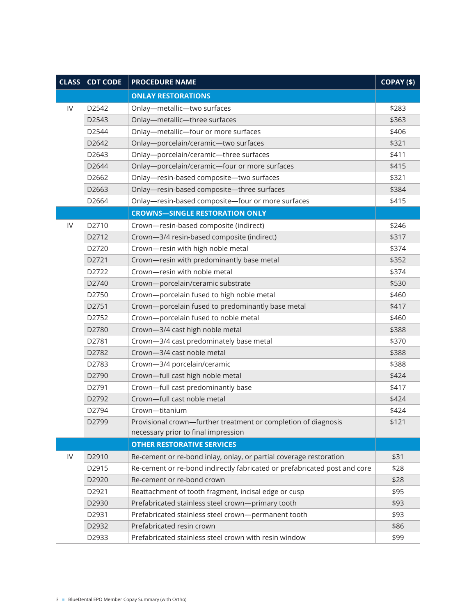|               | <b>CLASS CDT CODE</b> | <b>PROCEDURE NAME</b>                                                     | COPAY (\$) |
|---------------|-----------------------|---------------------------------------------------------------------------|------------|
|               |                       | <b>ONLAY RESTORATIONS</b>                                                 |            |
| $\mathsf{IV}$ | D2542                 | Onlay-metallic-two surfaces                                               | \$283      |
|               | D2543                 | Onlay-metallic-three surfaces                                             | \$363      |
|               | D2544                 | Onlay-metallic-four or more surfaces                                      | \$406      |
|               | D2642                 | Onlay-porcelain/ceramic-two surfaces                                      | \$321      |
|               | D2643                 | Onlay-porcelain/ceramic-three surfaces                                    | \$411      |
|               | D2644                 | Onlay-porcelain/ceramic-four or more surfaces                             | \$415      |
|               | D2662                 | Onlay-resin-based composite-two surfaces                                  | \$321      |
|               | D2663                 | Onlay-resin-based composite-three surfaces                                | \$384      |
|               | D2664                 | Onlay-resin-based composite-four or more surfaces                         | \$415      |
|               |                       | <b>CROWNS-SINGLE RESTORATION ONLY</b>                                     |            |
| IV            | D2710                 | Crown-resin-based composite (indirect)                                    | \$246      |
|               | D2712                 | Crown-3/4 resin-based composite (indirect)                                | \$317      |
|               | D2720                 | Crown-resin with high noble metal                                         | \$374      |
|               | D2721                 | Crown-resin with predominantly base metal                                 | \$352      |
|               | D2722                 | Crown-resin with noble metal                                              | \$374      |
|               | D2740                 | Crown-porcelain/ceramic substrate                                         | \$530      |
|               | D2750                 | Crown-porcelain fused to high noble metal                                 | \$460      |
|               | D2751                 | Crown-porcelain fused to predominantly base metal                         | \$417      |
|               | D2752                 | Crown-porcelain fused to noble metal                                      | \$460      |
|               | D2780                 | Crown-3/4 cast high noble metal                                           | \$388      |
|               | D2781                 | Crown-3/4 cast predominately base metal                                   | \$370      |
|               | D2782                 | Crown-3/4 cast noble metal                                                | \$388      |
|               | D2783                 | Crown-3/4 porcelain/ceramic                                               | \$388      |
|               | D2790                 | Crown-full cast high noble metal                                          | \$424      |
|               | D2791                 | Crown-full cast predominantly base                                        | \$417      |
|               | D2792                 | Crown-full cast noble metal                                               | \$424      |
|               | D2794                 | Crown-titanium                                                            | \$424      |
|               | D2799                 | Provisional crown-further treatment or completion of diagnosis            | \$121      |
|               |                       | necessary prior to final impression                                       |            |
|               |                       | <b>OTHER RESTORATIVE SERVICES</b>                                         |            |
| IV            | D2910                 | Re-cement or re-bond inlay, onlay, or partial coverage restoration        | \$31       |
|               | D2915                 | Re-cement or re-bond indirectly fabricated or prefabricated post and core | \$28       |
|               | D2920                 | Re-cement or re-bond crown                                                | \$28       |
|               | D2921                 | Reattachment of tooth fragment, incisal edge or cusp                      | \$95       |
|               | D2930                 | Prefabricated stainless steel crown-primary tooth                         | \$93       |
|               | D2931                 | Prefabricated stainless steel crown-permanent tooth                       | \$93       |
|               | D2932                 | Prefabricated resin crown                                                 | \$86       |
|               | D2933                 | Prefabricated stainless steel crown with resin window                     | \$99       |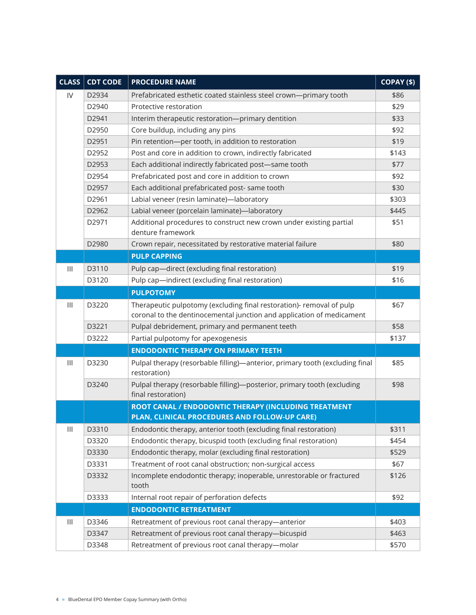| CLASS                                 | <b>CDT CODE</b> | <b>PROCEDURE NAME</b>                                                                                 | COPAY (\$) |
|---------------------------------------|-----------------|-------------------------------------------------------------------------------------------------------|------------|
| IV                                    | D2934           | Prefabricated esthetic coated stainless steel crown-primary tooth                                     | \$86       |
|                                       | D2940           | Protective restoration                                                                                | \$29       |
|                                       | D2941           | Interim therapeutic restoration-primary dentition                                                     | \$33       |
|                                       | D2950           | Core buildup, including any pins                                                                      | \$92       |
|                                       | D2951           | Pin retention-per tooth, in addition to restoration                                                   | \$19       |
|                                       | D2952           | Post and core in addition to crown, indirectly fabricated                                             | \$143      |
|                                       | D2953           | Each additional indirectly fabricated post-same tooth                                                 | \$77       |
|                                       | D2954           | Prefabricated post and core in addition to crown                                                      | \$92       |
|                                       | D2957           | Each additional prefabricated post- same tooth                                                        | \$30       |
|                                       | D2961           | Labial veneer (resin laminate)-laboratory                                                             | \$303      |
|                                       | D2962           | Labial veneer (porcelain laminate)-laboratory                                                         | \$445      |
|                                       | D2971           | Additional procedures to construct new crown under existing partial<br>denture framework              | \$51       |
|                                       | D2980           | Crown repair, necessitated by restorative material failure                                            | \$80       |
|                                       |                 | <b>PULP CAPPING</b>                                                                                   |            |
| $\begin{array}{c} \hline \end{array}$ | D3110           | Pulp cap-direct (excluding final restoration)                                                         | \$19       |
|                                       | D3120           | Pulp cap-indirect (excluding final restoration)                                                       | \$16       |
|                                       |                 | <b>PULPOTOMY</b>                                                                                      |            |
| $\mathbf{III}$                        | D3220           | Therapeutic pulpotomy (excluding final restoration)- removal of pulp                                  | \$67       |
|                                       |                 | coronal to the dentinocemental junction and application of medicament                                 |            |
|                                       | D3221           | Pulpal debridement, primary and permanent teeth                                                       | \$58       |
|                                       | D3222           | Partial pulpotomy for apexogenesis                                                                    | \$137      |
|                                       |                 | <b>ENDODONTIC THERAPY ON PRIMARY TEETH</b>                                                            |            |
| $\mathbf{III}$                        | D3230           | Pulpal therapy (resorbable filling)—anterior, primary tooth (excluding final<br>restoration)          | \$85       |
|                                       | D3240           | Pulpal therapy (resorbable filling)-posterior, primary tooth (excluding<br>final restoration)         | \$98       |
|                                       |                 | ROOT CANAL / ENDODONTIC THERAPY (INCLUDING TREATMENT<br>PLAN, CLINICAL PROCEDURES AND FOLLOW-UP CARE) |            |
| $\ensuremath{\mathsf{III}}\xspace$    | D3310           | Endodontic therapy, anterior tooth (excluding final restoration)                                      | \$311      |
|                                       | D3320           | Endodontic therapy, bicuspid tooth (excluding final restoration)                                      | \$454      |
|                                       | D3330           | Endodontic therapy, molar (excluding final restoration)                                               | \$529      |
|                                       | D3331           | Treatment of root canal obstruction; non-surgical access                                              | \$67       |
|                                       | D3332           | Incomplete endodontic therapy; inoperable, unrestorable or fractured<br>tooth                         | \$126      |
|                                       | D3333           | Internal root repair of perforation defects                                                           | \$92       |
|                                       |                 | <b>ENDODONTIC RETREATMENT</b>                                                                         |            |
| $\ensuremath{\mathsf{III}}\xspace$    | D3346           | Retreatment of previous root canal therapy-anterior                                                   | \$403      |
|                                       | D3347           | Retreatment of previous root canal therapy-bicuspid                                                   | \$463      |
|                                       | D3348           | Retreatment of previous root canal therapy-molar                                                      | \$570      |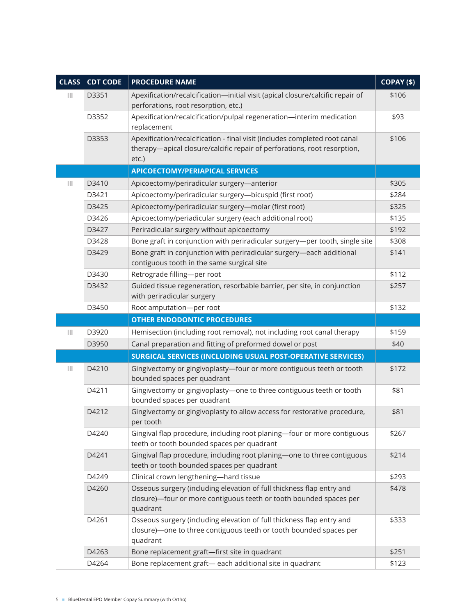| CLASS                                 | <b>CDT CODE</b> | <b>PROCEDURE NAME</b>                                                                                                 | COPAY (\$) |
|---------------------------------------|-----------------|-----------------------------------------------------------------------------------------------------------------------|------------|
| Ш                                     | D3351           | Apexification/recalcification-initial visit (apical closure/calcific repair of                                        | \$106      |
|                                       |                 | perforations, root resorption, etc.)                                                                                  |            |
|                                       | D3352           | Apexification/recalcification/pulpal regeneration-interim medication                                                  | \$93       |
|                                       |                 | replacement                                                                                                           |            |
|                                       | D3353           | Apexification/recalcification - final visit (includes completed root canal                                            | \$106      |
|                                       |                 | therapy-apical closure/calcific repair of perforations, root resorption,<br>etc.)                                     |            |
|                                       |                 | <b>APICOECTOMY/PERIAPICAL SERVICES</b>                                                                                |            |
| $\begin{array}{c} \hline \end{array}$ | D3410           | Apicoectomy/periradicular surgery-anterior                                                                            | \$305      |
|                                       | D3421           | Apicoectomy/periradicular surgery-bicuspid (first root)                                                               | \$284      |
|                                       | D3425           | Apicoectomy/periradicular surgery-molar (first root)                                                                  | \$325      |
|                                       | D3426           | Apicoectomy/periadicular surgery (each additional root)                                                               | \$135      |
|                                       | D3427           | Periradicular surgery without apicoectomy                                                                             | \$192      |
|                                       | D3428           | Bone graft in conjunction with periradicular surgery-per tooth, single site                                           | \$308      |
|                                       | D3429           | Bone graft in conjunction with periradicular surgery-each additional                                                  | \$141      |
|                                       |                 | contiguous tooth in the same surgical site                                                                            |            |
|                                       | D3430           | Retrograde filling-per root                                                                                           | \$112      |
|                                       | D3432           | Guided tissue regeneration, resorbable barrier, per site, in conjunction                                              | \$257      |
|                                       |                 | with periradicular surgery                                                                                            |            |
|                                       | D3450           | Root amputation-per root                                                                                              | \$132      |
|                                       |                 | <b>OTHER ENDODONTIC PROCEDURES</b>                                                                                    |            |
| $\begin{array}{c} \hline \end{array}$ | D3920           | Hemisection (including root removal), not including root canal therapy                                                | \$159      |
|                                       | D3950           | Canal preparation and fitting of preformed dowel or post                                                              | \$40       |
|                                       |                 | SURGICAL SERVICES (INCLUDING USUAL POST-OPERATIVE SERVICES)                                                           |            |
| $\  \, \ $                            | D4210           | Gingivectomy or gingivoplasty-four or more contiguous teeth or tooth<br>bounded spaces per quadrant                   | \$172      |
|                                       | D4211           | Gingivectomy or gingivoplasty-one to three contiguous teeth or tooth<br>bounded spaces per quadrant                   | \$81       |
|                                       | D4212           | Gingivectomy or gingivoplasty to allow access for restorative procedure,<br>per tooth                                 | \$81       |
|                                       | D4240           | Gingival flap procedure, including root planing-four or more contiguous<br>teeth or tooth bounded spaces per quadrant | \$267      |
|                                       | D4241           | Gingival flap procedure, including root planing-one to three contiguous<br>teeth or tooth bounded spaces per quadrant | \$214      |
|                                       | D4249           | Clinical crown lengthening-hard tissue                                                                                | \$293      |
|                                       | D4260           | Osseous surgery (including elevation of full thickness flap entry and                                                 | \$478      |
|                                       |                 | closure)-four or more contiguous teeth or tooth bounded spaces per<br>quadrant                                        |            |
|                                       | D4261           | Osseous surgery (including elevation of full thickness flap entry and                                                 | \$333      |
|                                       |                 | closure)-one to three contiguous teeth or tooth bounded spaces per<br>quadrant                                        |            |
|                                       | D4263           | Bone replacement graft-first site in quadrant                                                                         | \$251      |
|                                       | D4264           | Bone replacement graft-each additional site in quadrant                                                               | \$123      |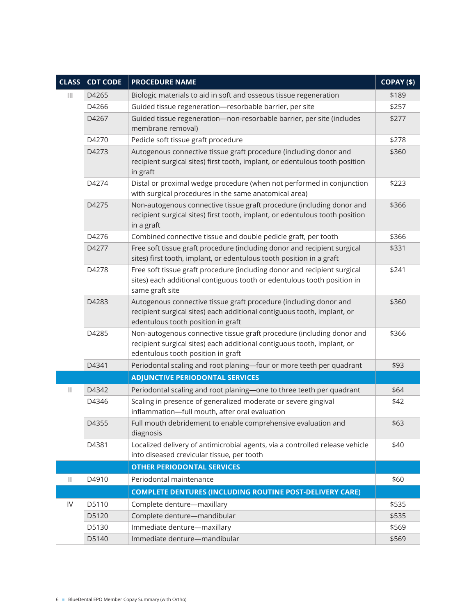| CLASS          | <b>CDT CODE</b> | <b>PROCEDURE NAME</b>                                                                                                                                                                  | COPAY (\$) |
|----------------|-----------------|----------------------------------------------------------------------------------------------------------------------------------------------------------------------------------------|------------|
| $\mathbf{III}$ | D4265           | Biologic materials to aid in soft and osseous tissue regeneration                                                                                                                      | \$189      |
|                | D4266           | Guided tissue regeneration-resorbable barrier, per site                                                                                                                                | \$257      |
|                | D4267           | Guided tissue regeneration-non-resorbable barrier, per site (includes<br>membrane removal)                                                                                             | \$277      |
|                | D4270           | Pedicle soft tissue graft procedure                                                                                                                                                    | \$278      |
|                | D4273           | Autogenous connective tissue graft procedure (including donor and<br>recipient surgical sites) first tooth, implant, or edentulous tooth position<br>in graft                          | \$360      |
|                | D4274           | Distal or proximal wedge procedure (when not performed in conjunction<br>with surgical procedures in the same anatomical area)                                                         | \$223      |
|                | D4275           | Non-autogenous connective tissue graft procedure (including donor and<br>recipient surgical sites) first tooth, implant, or edentulous tooth position<br>in a graft                    | \$366      |
|                | D4276           | Combined connective tissue and double pedicle graft, per tooth                                                                                                                         | \$366      |
|                | D4277           | Free soft tissue graft procedure (including donor and recipient surgical<br>sites) first tooth, implant, or edentulous tooth position in a graft                                       | \$331      |
|                | D4278           | Free soft tissue graft procedure (including donor and recipient surgical<br>sites) each additional contiguous tooth or edentulous tooth position in<br>same graft site                 | \$241      |
|                | D4283           | Autogenous connective tissue graft procedure (including donor and<br>recipient surgical sites) each additional contiguous tooth, implant, or<br>edentulous tooth position in graft     | \$360      |
|                | D4285           | Non-autogenous connective tissue graft procedure (including donor and<br>recipient surgical sites) each additional contiguous tooth, implant, or<br>edentulous tooth position in graft | \$366      |
|                | D4341           | Periodontal scaling and root planing-four or more teeth per quadrant                                                                                                                   | \$93       |
|                |                 | <b>ADJUNCTIVE PERIODONTAL SERVICES</b>                                                                                                                                                 |            |
| $\mathbf{H}$   | D4342           | Periodontal scaling and root planing-one to three teeth per quadrant                                                                                                                   | \$64       |
|                | D4346           | Scaling in presence of generalized moderate or severe gingival<br>inflammation-full mouth, after oral evaluation                                                                       | \$42       |
|                | D4355           | Full mouth debridement to enable comprehensive evaluation and<br>diagnosis                                                                                                             | \$63       |
|                | D4381           | Localized delivery of antimicrobial agents, via a controlled release vehicle<br>into diseased crevicular tissue, per tooth                                                             | \$40       |
|                |                 | <b>OTHER PERIODONTAL SERVICES</b>                                                                                                                                                      |            |
| $\mathbf{  }$  | D4910           | Periodontal maintenance                                                                                                                                                                | \$60       |
|                |                 | <b>COMPLETE DENTURES (INCLUDING ROUTINE POST-DELIVERY CARE)</b>                                                                                                                        |            |
| ${\sf IV}$     | D5110           | Complete denture-maxillary                                                                                                                                                             | \$535      |
|                | D5120           | Complete denture-mandibular                                                                                                                                                            | \$535      |
|                | D5130           | Immediate denture-maxillary                                                                                                                                                            | \$569      |
|                | D5140           | Immediate denture-mandibular                                                                                                                                                           | \$569      |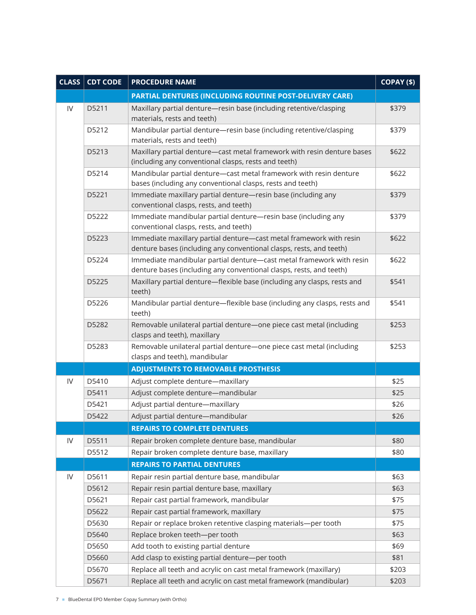| CLASS <sup> </sup> | <b>CDT CODE</b> | <b>PROCEDURE NAME</b>                                                                                                                       | COPAY (\$) |
|--------------------|-----------------|---------------------------------------------------------------------------------------------------------------------------------------------|------------|
|                    |                 | PARTIAL DENTURES (INCLUDING ROUTINE POST-DELIVERY CARE)                                                                                     |            |
| $\mathsf{IV}$      | D5211           | Maxillary partial denture-resin base (including retentive/clasping<br>materials, rests and teeth)                                           | \$379      |
|                    | D5212           | Mandibular partial denture-resin base (including retentive/clasping<br>materials, rests and teeth)                                          | \$379      |
|                    | D5213           | Maxillary partial denture-cast metal framework with resin denture bases<br>(including any conventional clasps, rests and teeth)             | \$622      |
|                    | D5214           | Mandibular partial denture-cast metal framework with resin denture<br>bases (including any conventional clasps, rests and teeth)            | \$622      |
|                    | D5221           | Immediate maxillary partial denture-resin base (including any<br>conventional clasps, rests, and teeth)                                     | \$379      |
|                    | D5222           | Immediate mandibular partial denture-resin base (including any<br>conventional clasps, rests, and teeth)                                    | \$379      |
|                    | D5223           | Immediate maxillary partial denture-cast metal framework with resin<br>denture bases (including any conventional clasps, rests, and teeth)  | \$622      |
|                    | D5224           | Immediate mandibular partial denture-cast metal framework with resin<br>denture bases (including any conventional clasps, rests, and teeth) | \$622      |
|                    | D5225           | Maxillary partial denture-flexible base (including any clasps, rests and<br>teeth)                                                          | \$541      |
|                    | D5226           | Mandibular partial denture-flexible base (including any clasps, rests and<br>teeth)                                                         | \$541      |
|                    | D5282           | Removable unilateral partial denture-one piece cast metal (including<br>clasps and teeth), maxillary                                        | \$253      |
|                    | D5283           | Removable unilateral partial denture-one piece cast metal (including<br>clasps and teeth), mandibular                                       | \$253      |
|                    |                 | <b>ADJUSTMENTS TO REMOVABLE PROSTHESIS</b>                                                                                                  |            |
| ${\sf IV}$         | D5410           | Adjust complete denture-maxillary                                                                                                           | \$25       |
|                    | D5411           | Adjust complete denture-mandibular                                                                                                          | \$25       |
|                    | D5421           | Adjust partial denture-maxillary                                                                                                            | \$26       |
|                    | D5422           | Adjust partial denture-mandibular                                                                                                           | \$26       |
|                    |                 | <b>REPAIRS TO COMPLETE DENTURES</b>                                                                                                         |            |
| ${\sf IV}$         | D5511           | Repair broken complete denture base, mandibular                                                                                             | \$80       |
|                    | D5512           | Repair broken complete denture base, maxillary                                                                                              | \$80       |
|                    |                 | <b>REPAIRS TO PARTIAL DENTURES</b>                                                                                                          |            |
| ${\sf IV}$         | D5611           | Repair resin partial denture base, mandibular                                                                                               | \$63       |
|                    | D5612           | Repair resin partial denture base, maxillary                                                                                                | \$63       |
|                    | D5621           | Repair cast partial framework, mandibular                                                                                                   | \$75       |
|                    | D5622           | Repair cast partial framework, maxillary                                                                                                    | \$75       |
|                    | D5630           | Repair or replace broken retentive clasping materials-per tooth                                                                             | \$75       |
|                    | D5640           | Replace broken teeth-per tooth                                                                                                              | \$63       |
|                    | D5650           | Add tooth to existing partial denture                                                                                                       | \$69       |
|                    | D5660           | Add clasp to existing partial denture-per tooth                                                                                             | \$81       |
|                    | D5670           | Replace all teeth and acrylic on cast metal framework (maxillary)                                                                           | \$203      |
|                    | D5671           | Replace all teeth and acrylic on cast metal framework (mandibular)                                                                          | \$203      |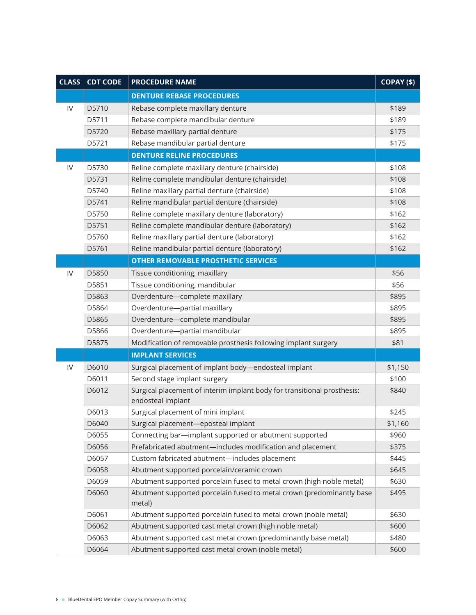| CLASS <sup> </sup> | <b>CDT CODE</b> | <b>PROCEDURE NAME</b>                                                                        | COPAY (\$) |
|--------------------|-----------------|----------------------------------------------------------------------------------------------|------------|
|                    |                 | <b>DENTURE REBASE PROCEDURES</b>                                                             |            |
| $\mathsf{IV}$      | D5710           | Rebase complete maxillary denture                                                            | \$189      |
|                    | D5711           | Rebase complete mandibular denture                                                           | \$189      |
|                    | D5720           | Rebase maxillary partial denture                                                             | \$175      |
|                    | D5721           | Rebase mandibular partial denture                                                            | \$175      |
|                    |                 | <b>DENTURE RELINE PROCEDURES</b>                                                             |            |
| IV                 | D5730           | Reline complete maxillary denture (chairside)                                                | \$108      |
|                    | D5731           | Reline complete mandibular denture (chairside)                                               | \$108      |
|                    | D5740           | Reline maxillary partial denture (chairside)                                                 | \$108      |
|                    | D5741           | Reline mandibular partial denture (chairside)                                                | \$108      |
|                    | D5750           | Reline complete maxillary denture (laboratory)                                               | \$162      |
|                    | D5751           | Reline complete mandibular denture (laboratory)                                              | \$162      |
|                    | D5760           | Reline maxillary partial denture (laboratory)                                                | \$162      |
|                    | D5761           | Reline mandibular partial denture (laboratory)                                               | \$162      |
|                    |                 | <b>OTHER REMOVABLE PROSTHETIC SERVICES</b>                                                   |            |
| IV                 | D5850           | Tissue conditioning, maxillary                                                               | \$56       |
|                    | D5851           | Tissue conditioning, mandibular                                                              | \$56       |
|                    | D5863           | Overdenture-complete maxillary                                                               | \$895      |
|                    | D5864           | Overdenture-partial maxillary                                                                | \$895      |
|                    | D5865           | Overdenture-complete mandibular                                                              | \$895      |
|                    | D5866           | Overdenture-partial mandibular                                                               | \$895      |
|                    | D5875           | Modification of removable prosthesis following implant surgery                               | \$81       |
|                    |                 | <b>IMPLANT SERVICES</b>                                                                      |            |
| $\mathsf{IV}$      | D6010           | Surgical placement of implant body-endosteal implant                                         | \$1,150    |
|                    | D6011           | Second stage implant surgery                                                                 | \$100      |
|                    | D6012           | Surgical placement of interim implant body for transitional prosthesis:<br>endosteal implant | \$840      |
|                    | D6013           | Surgical placement of mini implant                                                           | \$245      |
|                    | D6040           | Surgical placement-eposteal implant                                                          | \$1,160    |
|                    | D6055           | Connecting bar-implant supported or abutment supported                                       | \$960      |
|                    | D6056           | Prefabricated abutment-includes modification and placement                                   | \$375      |
|                    | D6057           | Custom fabricated abutment-includes placement                                                | \$445      |
|                    | D6058           | Abutment supported porcelain/ceramic crown                                                   | \$645      |
|                    | D6059           | Abutment supported porcelain fused to metal crown (high noble metal)                         | \$630      |
|                    | D6060           | Abutment supported porcelain fused to metal crown (predominantly base<br>metal)              | \$495      |
|                    | D6061           | Abutment supported porcelain fused to metal crown (noble metal)                              | \$630      |
|                    | D6062           | Abutment supported cast metal crown (high noble metal)                                       | \$600      |
|                    | D6063           | Abutment supported cast metal crown (predominantly base metal)                               | \$480      |
|                    | D6064           | Abutment supported cast metal crown (noble metal)                                            | \$600      |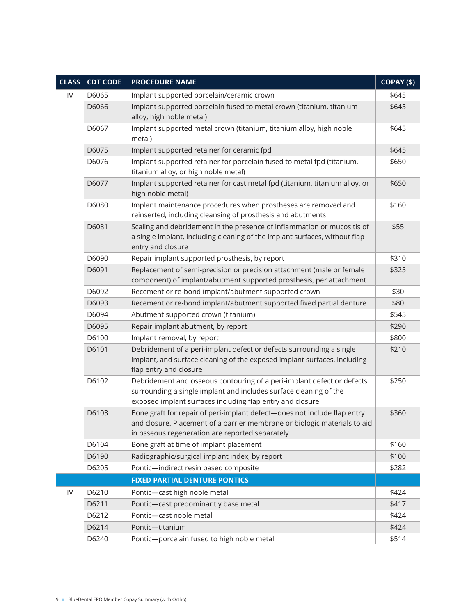| <b>CLASS</b> | <b>CDT CODE</b> | <b>PROCEDURE NAME</b>                                                                                                                                                                                    | $COPAY($ \$) |
|--------------|-----------------|----------------------------------------------------------------------------------------------------------------------------------------------------------------------------------------------------------|--------------|
| IV           | D6065           | Implant supported porcelain/ceramic crown                                                                                                                                                                | \$645        |
|              | D6066           | Implant supported porcelain fused to metal crown (titanium, titanium<br>alloy, high noble metal)                                                                                                         | \$645        |
|              | D6067           | Implant supported metal crown (titanium, titanium alloy, high noble<br>metal)                                                                                                                            | \$645        |
|              | D6075           | Implant supported retainer for ceramic fpd                                                                                                                                                               | \$645        |
|              | D6076           | Implant supported retainer for porcelain fused to metal fpd (titanium,<br>titanium alloy, or high noble metal)                                                                                           | \$650        |
|              | D6077           | Implant supported retainer for cast metal fpd (titanium, titanium alloy, or<br>high noble metal)                                                                                                         | \$650        |
|              | D6080           | Implant maintenance procedures when prostheses are removed and<br>reinserted, including cleansing of prosthesis and abutments                                                                            | \$160        |
|              | D6081           | Scaling and debridement in the presence of inflammation or mucositis of<br>a single implant, including cleaning of the implant surfaces, without flap<br>entry and closure                               | \$55         |
|              | D6090           | Repair implant supported prosthesis, by report                                                                                                                                                           | \$310        |
|              | D6091           | Replacement of semi-precision or precision attachment (male or female<br>component) of implant/abutment supported prosthesis, per attachment                                                             | \$325        |
|              | D6092           | Recement or re-bond implant/abutment supported crown                                                                                                                                                     | \$30         |
|              | D6093           | Recement or re-bond implant/abutment supported fixed partial denture                                                                                                                                     | \$80         |
|              | D6094           | Abutment supported crown (titanium)                                                                                                                                                                      | \$545        |
|              | D6095           | Repair implant abutment, by report                                                                                                                                                                       | \$290        |
|              | D6100           | Implant removal, by report                                                                                                                                                                               | \$800        |
|              | D6101           | Debridement of a peri-implant defect or defects surrounding a single<br>implant, and surface cleaning of the exposed implant surfaces, including<br>flap entry and closure                               | \$210        |
|              | D6102           | Debridement and osseous contouring of a peri-implant defect or defects<br>surrounding a single implant and includes surface cleaning of the<br>exposed implant surfaces including flap entry and closure | \$250        |
|              | D6103           | Bone graft for repair of peri-implant defect-does not include flap entry<br>and closure. Placement of a barrier membrane or biologic materials to aid<br>in osseous regeneration are reported separately | \$360        |
|              | D6104           | Bone graft at time of implant placement                                                                                                                                                                  | \$160        |
|              | D6190           | Radiographic/surgical implant index, by report                                                                                                                                                           | \$100        |
|              | D6205           | Pontic-indirect resin based composite                                                                                                                                                                    | \$282        |
|              |                 | <b>FIXED PARTIAL DENTURE PONTICS</b>                                                                                                                                                                     |              |
| IV           | D6210           | Pontic-cast high noble metal                                                                                                                                                                             | \$424        |
|              | D6211           | Pontic-cast predominantly base metal                                                                                                                                                                     | \$417        |
|              | D6212           | Pontic-cast noble metal                                                                                                                                                                                  | \$424        |
|              | D6214           | Pontic-titanium                                                                                                                                                                                          | \$424        |
|              | D6240           | Pontic-porcelain fused to high noble metal                                                                                                                                                               | \$514        |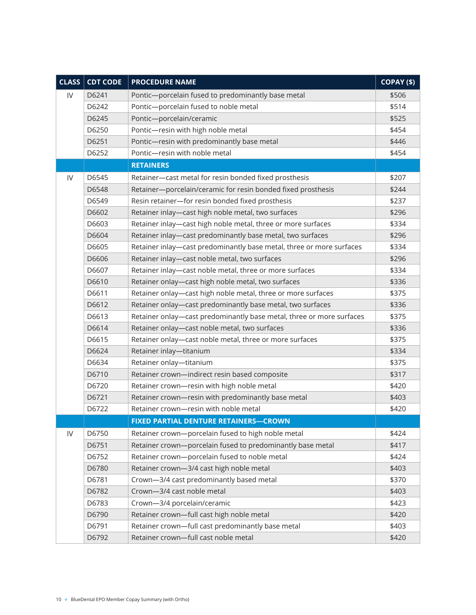| CLASS | <b>CDT CODE</b> | <b>PROCEDURE NAME</b>                                                | COPAY (\$) |
|-------|-----------------|----------------------------------------------------------------------|------------|
| IV    | D6241           | Pontic-porcelain fused to predominantly base metal                   | \$506      |
|       | D6242           | Pontic-porcelain fused to noble metal                                | \$514      |
|       | D6245           | Pontic-porcelain/ceramic                                             | \$525      |
|       | D6250           | Pontic-resin with high noble metal                                   | \$454      |
|       | D6251           | Pontic-resin with predominantly base metal                           | \$446      |
|       | D6252           | Pontic-resin with noble metal                                        | \$454      |
|       |                 | <b>RETAINERS</b>                                                     |            |
| IV    | D6545           | Retainer-cast metal for resin bonded fixed prosthesis                | \$207      |
|       | D6548           | Retainer-porcelain/ceramic for resin bonded fixed prosthesis         | \$244      |
|       | D6549           | Resin retainer-for resin bonded fixed prosthesis                     | \$237      |
|       | D6602           | Retainer inlay-cast high noble metal, two surfaces                   | \$296      |
|       | D6603           | Retainer inlay-cast high noble metal, three or more surfaces         | \$334      |
|       | D6604           | Retainer inlay-cast predominantly base metal, two surfaces           | \$296      |
|       | D6605           | Retainer inlay-cast predominantly base metal, three or more surfaces | \$334      |
|       | D6606           | Retainer inlay-cast noble metal, two surfaces                        | \$296      |
|       | D6607           | Retainer inlay-cast noble metal, three or more surfaces              | \$334      |
|       | D6610           | Retainer onlay-cast high noble metal, two surfaces                   | \$336      |
|       | D6611           | Retainer onlay-cast high noble metal, three or more surfaces         | \$375      |
|       | D6612           | Retainer onlay-cast predominantly base metal, two surfaces           | \$336      |
|       | D6613           | Retainer onlay-cast predominantly base metal, three or more surfaces | \$375      |
|       | D6614           | Retainer onlay-cast noble metal, two surfaces                        | \$336      |
|       | D6615           | Retainer onlay-cast noble metal, three or more surfaces              | \$375      |
|       | D6624           | Retainer inlay-titanium                                              | \$334      |
|       | D6634           | Retainer onlay-titanium                                              | \$375      |
|       | D6710           | Retainer crown-indirect resin based composite                        | \$317      |
|       | D6720           | Retainer crown-resin with high noble metal                           | \$420      |
|       | D6721           | Retainer crown-resin with predominantly base metal                   | \$403      |
|       | D6722           | Retainer crown-resin with noble metal                                | \$420      |
|       |                 | <b>FIXED PARTIAL DENTURE RETAINERS-CROWN</b>                         |            |
| IV    | D6750           | Retainer crown-porcelain fused to high noble metal                   | \$424      |
|       | D6751           | Retainer crown-porcelain fused to predominantly base metal           | \$417      |
|       | D6752           | Retainer crown-porcelain fused to noble metal                        | \$424      |
|       | D6780           | Retainer crown-3/4 cast high noble metal                             | \$403      |
|       | D6781           | Crown-3/4 cast predominantly based metal                             | \$370      |
|       | D6782           | Crown-3/4 cast noble metal                                           | \$403      |
|       | D6783           | Crown-3/4 porcelain/ceramic                                          | \$423      |
|       | D6790           | Retainer crown-full cast high noble metal                            | \$420      |
|       | D6791           | Retainer crown-full cast predominantly base metal                    | \$403      |
|       | D6792           | Retainer crown-full cast noble metal                                 | \$420      |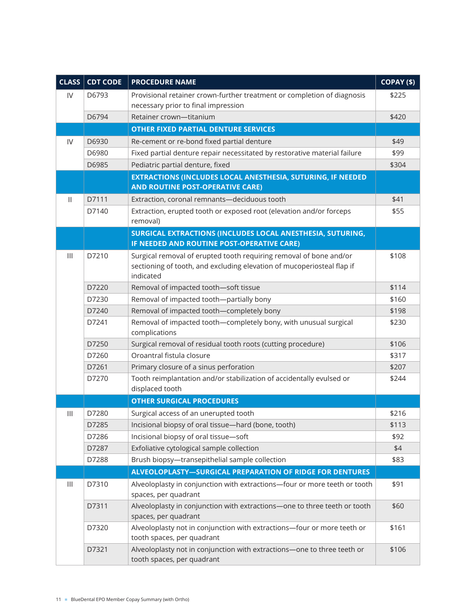| CLASS                                 | <b>CDT CODE</b> | <b>PROCEDURE NAME</b>                                                                                                                                     | COPAY (\$) |
|---------------------------------------|-----------------|-----------------------------------------------------------------------------------------------------------------------------------------------------------|------------|
| IV                                    | D6793           | Provisional retainer crown-further treatment or completion of diagnosis                                                                                   | \$225      |
|                                       |                 | necessary prior to final impression                                                                                                                       |            |
|                                       | D6794           | Retainer crown-titanium                                                                                                                                   | \$420      |
|                                       |                 | <b>OTHER FIXED PARTIAL DENTURE SERVICES</b>                                                                                                               |            |
| IV                                    | D6930           | Re-cement or re-bond fixed partial denture                                                                                                                | \$49       |
|                                       | D6980           | Fixed partial denture repair necessitated by restorative material failure                                                                                 | \$99       |
|                                       | D6985           | Pediatric partial denture, fixed                                                                                                                          | \$304      |
|                                       |                 | <b>EXTRACTIONS (INCLUDES LOCAL ANESTHESIA, SUTURING, IF NEEDED</b>                                                                                        |            |
|                                       |                 | <b>AND ROUTINE POST-OPERATIVE CARE)</b>                                                                                                                   |            |
| $\mathbf{H}$                          | D7111           | Extraction, coronal remnants-deciduous tooth                                                                                                              | \$41       |
|                                       | D7140           | Extraction, erupted tooth or exposed root (elevation and/or forceps<br>removal)                                                                           | \$55       |
|                                       |                 | SURGICAL EXTRACTIONS (INCLUDES LOCAL ANESTHESIA, SUTURING,                                                                                                |            |
|                                       |                 | IF NEEDED AND ROUTINE POST-OPERATIVE CARE)                                                                                                                |            |
| $\begin{array}{c} \hline \end{array}$ | D7210           | Surgical removal of erupted tooth requiring removal of bone and/or<br>sectioning of tooth, and excluding elevation of mucoperiosteal flap if<br>indicated | \$108      |
|                                       | D7220           | Removal of impacted tooth-soft tissue                                                                                                                     | \$114      |
|                                       | D7230           | Removal of impacted tooth-partially bony                                                                                                                  | \$160      |
|                                       | D7240           | Removal of impacted tooth-completely bony                                                                                                                 | \$198      |
|                                       | D7241           | Removal of impacted tooth-completely bony, with unusual surgical<br>complications                                                                         | \$230      |
|                                       | D7250           | Surgical removal of residual tooth roots (cutting procedure)                                                                                              | \$106      |
|                                       | D7260           | Oroantral fistula closure                                                                                                                                 | \$317      |
|                                       | D7261           | Primary closure of a sinus perforation                                                                                                                    | \$207      |
|                                       | D7270           | Tooth reimplantation and/or stabilization of accidentally evulsed or                                                                                      | \$244      |
|                                       |                 | displaced tooth                                                                                                                                           |            |
|                                       |                 | <b>OTHER SURGICAL PROCEDURES</b>                                                                                                                          |            |
| $\begin{array}{c} \hline \end{array}$ | D7280           | Surgical access of an unerupted tooth                                                                                                                     | \$216      |
|                                       | D7285           | Incisional biopsy of oral tissue-hard (bone, tooth)                                                                                                       | \$113      |
|                                       | D7286           | Incisional biopsy of oral tissue-soft                                                                                                                     | \$92       |
|                                       | D7287           | Exfoliative cytological sample collection                                                                                                                 | \$4        |
|                                       | D7288           | Brush biopsy-transepithelial sample collection                                                                                                            | \$83       |
|                                       |                 | <b>ALVEOLOPLASTY-SURGICAL PREPARATION OF RIDGE FOR DENTURES</b>                                                                                           |            |
| $\mathbf{III}$                        | D7310           | Alveoloplasty in conjunction with extractions-four or more teeth or tooth<br>spaces, per quadrant                                                         | \$91       |
|                                       | D7311           | Alveoloplasty in conjunction with extractions-one to three teeth or tooth<br>spaces, per quadrant                                                         | \$60       |
|                                       | D7320           | Alveoloplasty not in conjunction with extractions-four or more teeth or<br>tooth spaces, per quadrant                                                     | \$161      |
|                                       | D7321           | Alveoloplasty not in conjunction with extractions-one to three teeth or<br>tooth spaces, per quadrant                                                     | \$106      |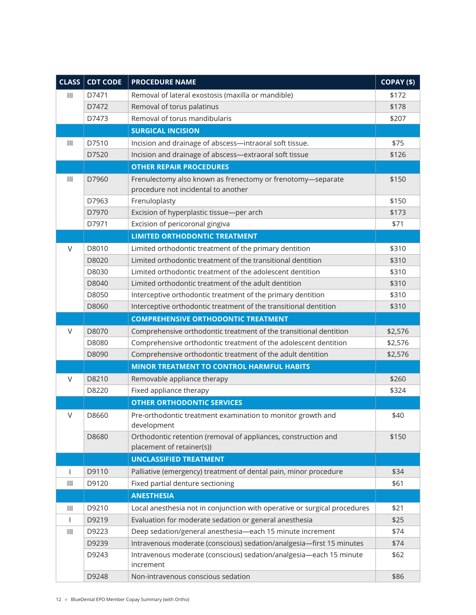| CLASS <sup>1</sup>                    | <b>CDT CODE</b> | <b>PROCEDURE NAME</b>                                                           | COPAY (\$) |
|---------------------------------------|-----------------|---------------------------------------------------------------------------------|------------|
| $\mathbf{III}$                        | D7471           | Removal of lateral exostosis (maxilla or mandible)                              | \$172      |
|                                       | D7472           | Removal of torus palatinus                                                      | \$178      |
|                                       | D7473           | Removal of torus mandibularis                                                   | \$207      |
|                                       |                 | <b>SURGICAL INCISION</b>                                                        |            |
| $\mathbf{III}$                        | D7510           | Incision and drainage of abscess-intraoral soft tissue.                         | \$75       |
|                                       | D7520           | Incision and drainage of abscess-extraoral soft tissue                          | \$126      |
|                                       |                 | <b>OTHER REPAIR PROCEDURES</b>                                                  |            |
| $\mathbf{III}$                        | D7960           | Frenulectomy also known as frenectomy or frenotomy-separate                     | \$150      |
|                                       |                 | procedure not incidental to another                                             |            |
|                                       | D7963           | Frenuloplasty                                                                   | \$150      |
|                                       | D7970           | Excision of hyperplastic tissue-per arch                                        | \$173      |
|                                       | D7971           | Excision of pericoronal gingiva                                                 | \$71       |
|                                       |                 | <b>LIMITED ORTHODONTIC TREATMENT</b>                                            |            |
| $\vee$                                | D8010           | Limited orthodontic treatment of the primary dentition                          | \$310      |
|                                       | D8020           | Limited orthodontic treatment of the transitional dentition                     | \$310      |
|                                       | D8030           | Limited orthodontic treatment of the adolescent dentition                       | \$310      |
|                                       | D8040           | Limited orthodontic treatment of the adult dentition                            | \$310      |
|                                       | D8050           | Interceptive orthodontic treatment of the primary dentition                     | \$310      |
|                                       | D8060           | Interceptive orthodontic treatment of the transitional dentition                | \$310      |
|                                       |                 | <b>COMPREHENSIVE ORTHODONTIC TREATMENT</b>                                      |            |
| $\vee$                                | D8070           | Comprehensive orthodontic treatment of the transitional dentition               | \$2,576    |
|                                       | D8080           | Comprehensive orthodontic treatment of the adolescent dentition                 | \$2,576    |
|                                       | D8090           | Comprehensive orthodontic treatment of the adult dentition                      | \$2,576    |
|                                       |                 | <b>MINOR TREATMENT TO CONTROL HARMFUL HABITS</b>                                |            |
| V                                     | D8210           | Removable appliance therapy                                                     | \$260      |
|                                       | D8220           | Fixed appliance therapy                                                         | \$324      |
|                                       |                 | <b>OTHER ORTHODONTIC SERVICES</b>                                               |            |
| V                                     | D8660           | Pre-orthodontic treatment examination to monitor growth and                     | \$40       |
|                                       |                 | development                                                                     |            |
|                                       | D8680           | Orthodontic retention (removal of appliances, construction and                  | \$150      |
|                                       |                 | placement of retainer(s))                                                       |            |
|                                       |                 | <b>UNCLASSIFIED TREATMENT</b>                                                   |            |
| $\overline{1}$                        | D9110           | Palliative (emergency) treatment of dental pain, minor procedure                | \$34       |
| $\mathbf{III}$                        | D9120           | Fixed partial denture sectioning                                                | \$61       |
|                                       |                 | <b>ANESTHESIA</b>                                                               |            |
| $\mathbf{III}$                        | D9210           | Local anesthesia not in conjunction with operative or surgical procedures       | \$21       |
| $\mathbf{I}$                          | D9219           | Evaluation for moderate sedation or general anesthesia                          | \$25       |
| $\begin{array}{c} \hline \end{array}$ | D9223           | Deep sedation/general anesthesia-each 15 minute increment                       | \$74       |
|                                       | D9239           | Intravenous moderate (conscious) sedation/analgesia-first 15 minutes            | \$74       |
|                                       | D9243           | Intravenous moderate (conscious) sedation/analgesia-each 15 minute<br>increment | \$62       |
|                                       | D9248           | Non-intravenous conscious sedation                                              | \$86       |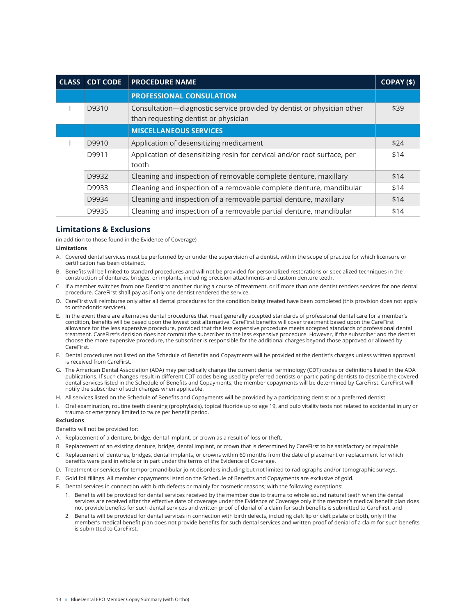| <b>CLASS</b> | <b>CDT CODE</b> | <b>PROCEDURE NAME</b>                                                                                          | COPAY (\$) |
|--------------|-----------------|----------------------------------------------------------------------------------------------------------------|------------|
|              |                 | <b>PROFESSIONAL CONSULATION</b>                                                                                |            |
|              | D9310           | Consultation-diagnostic service provided by dentist or physician other<br>than requesting dentist or physician | \$39       |
|              |                 | <b>MISCELLANEOUS SERVICES</b>                                                                                  |            |
|              | D9910           | Application of desensitizing medicament                                                                        | \$24       |
|              | D9911           | Application of desensitizing resin for cervical and/or root surface, per<br>tooth                              | \$14       |
|              | D9932           | Cleaning and inspection of removable complete denture, maxillary                                               | \$14       |
|              | D9933           | Cleaning and inspection of a removable complete denture, mandibular                                            | \$14       |
|              | D9934           | Cleaning and inspection of a removable partial denture, maxillary                                              | \$14       |
|              | D9935           | Cleaning and inspection of a removable partial denture, mandibular                                             | \$14       |

# **Limitations & Exclusions**

(in addition to those found in the Evidence of Coverage)

## **Limitations**

- A. Covered dental services must be performed by or under the supervision of a dentist, within the scope of practice for which licensure or certification has been obtained.
- B. Benefits will be limited to standard procedures and will not be provided for personalized restorations or specialized techniques in the construction of dentures, bridges, or implants, including precision attachments and custom denture teeth.
- C. If a member switches from one Dentist to another during a course of treatment, or if more than one dentist renders services for one dental procedure, CareFirst shall pay as if only one dentist rendered the service.
- D. CareFirst will reimburse only after all dental procedures for the condition being treated have been completed (this provision does not apply to orthodontic services).
- E. In the event there are alternative dental procedures that meet generally accepted standards of professional dental care for a member's condition, benefits will be based upon the lowest cost alternative. CareFirst benefits will cover treatment based upon the CareFirst allowance for the less expensive procedure, provided that the less expensive procedure meets accepted standards of professional dental treatment. CareFirst's decision does not commit the subscriber to the less expensive procedure. However, if the subscriber and the dentist choose the more expensive procedure, the subscriber is responsible for the additional charges beyond those approved or allowed by CareFirst.
- F. Dental procedures not listed on the Schedule of Benefits and Copayments will be provided at the dentist's charges unless written approval is received from CareFirst.
- G. The American Dental Association (ADA) may periodically change the current dental terminology (CDT) codes or definitions listed in the ADA publications. If such changes result in different CDT codes being used by preferred dentists or participating dentists to describe the covered dental services listed in the Schedule of Benefits and Copayments, the member copayments will be determined by CareFirst. CareFirst will notify the subscriber of such changes when applicable.
- H. All services listed on the Schedule of Benefits and Copayments will be provided by a participating dentist or a preferred dentist.
- I. Oral examination, routine teeth cleaning (prophylaxis), topical fluoride up to age 19, and pulp vitality tests not related to accidental injury or trauma or emergency limited to twice per benefit period.

## **Exclusions**

Benefits will not be provided for:

- A. Replacement of a denture, bridge, dental implant, or crown as a result of loss or theft.
- B. Replacement of an existing denture, bridge, dental implant, or crown that is determined by CareFirst to be satisfactory or repairable.
- C. Replacement of dentures, bridges, dental implants, or crowns within 60 months from the date of placement or replacement for which benefits were paid in whole or in part under the terms of the Evidence of Coverage.
- D. Treatment or services for temporomandibular joint disorders including but not limited to radiographs and/or tomographic surveys.
- E. Gold foil fillings. All member copayments listed on the Schedule of Benefits and Copayments are exclusive of gold.
- F. Dental services in connection with birth defects or mainly for cosmetic reasons; with the following exceptions:
	- 1. Benefits will be provided for dental services received by the member due to trauma to whole sound natural teeth when the dental services are received after the effective date of coverage under the Evidence of Coverage only if the member's medical benefit plan does not provide benefits for such dental services and written proof of denial of a claim for such benefits is submitted to CareFirst, and
	- 2. Benefits will be provided for dental services in connection with birth defects, including cleft lip or cleft palate or both, only if the member's medical benefit plan does not provide benefits for such dental services and written proof of denial of a claim for such benefits is submitted to CareFirst.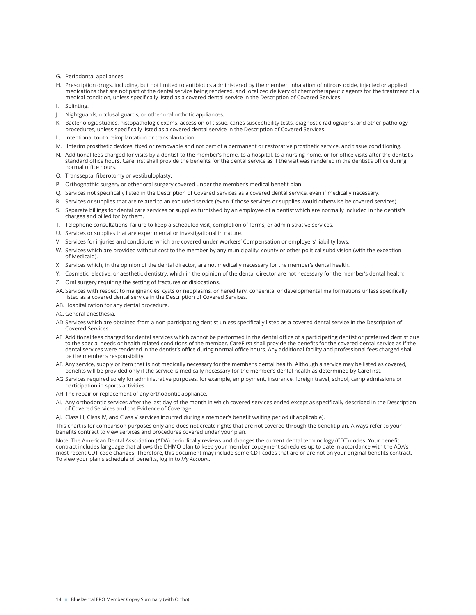- G. Periodontal appliances.
- H. Prescription drugs, including, but not limited to antibiotics administered by the member, inhalation of nitrous oxide, injected or applied medications that are not part of the dental service being rendered, and localized delivery of chemotherapeutic agents for the treatment of a medical condition, unless specifically listed as a covered dental service in the Description of Covered Services.
- I. Splinting.
- J. Nightguards, occlusal guards, or other oral orthotic appliances.
- K. Bacteriologic studies, histopathologic exams, accession of tissue, caries susceptibility tests, diagnostic radiographs, and other pathology procedures, unless specifically listed as a covered dental service in the Description of Covered Services.
- L. Intentional tooth reimplantation or transplantation.
- M. Interim prosthetic devices, fixed or removable and not part of a permanent or restorative prosthetic service, and tissue conditioning.
- N. Additional fees charged for visits by a dentist to the member's home, to a hospital, to a nursing home, or for office visits after the dentist's standard office hours. CareFirst shall provide the benefits for the dental service as if the visit was rendered in the dentist's office during normal office hours.
- O. Transseptal fiberotomy or vestibuloplasty.
- P. Orthognathic surgery or other oral surgery covered under the member's medical benefit plan.
- Q. Services not specifically listed in the Description of Covered Services as a covered dental service, even if medically necessary.
- R. Services or supplies that are related to an excluded service (even if those services or supplies would otherwise be covered services).
- S. Separate billings for dental care services or supplies furnished by an employee of a dentist which are normally included in the dentist's charges and billed for by them.
- T. Telephone consultations, failure to keep a scheduled visit, completion of forms, or administrative services.
- U. Services or supplies that are experimental or investigational in nature.
- V. Services for injuries and conditions which are covered under Workers' Compensation or employers' liability laws.
- W. Services which are provided without cost to the member by any municipality, county or other political subdivision (with the exception of Medicaid).
- X. Services which, in the opinion of the dental director, are not medically necessary for the member's dental health.
- Y. Cosmetic, elective, or aesthetic dentistry, which in the opinion of the dental director are not necessary for the member's dental health;
- Z. Oral surgery requiring the setting of fractures or dislocations.
- AA. Services with respect to malignancies, cysts or neoplasms, or hereditary, congenital or developmental malformations unless specifically listed as a covered dental service in the Description of Covered Services.
- AB. Hospitalization for any dental procedure.
- AC. General anesthesia.
- AD.Services which are obtained from a non-participating dentist unless specifically listed as a covered dental service in the Description of Covered Services.
- AE Additional fees charged for dental services which cannot be performed in the dental office of a participating dentist or preferred dentist due to the special needs or health related conditions of the member. CareFirst shall provide the benefits for the covered dental service as if the dental services were rendered in the dentist's office during normal office hours. Any additional facility and professional fees charged shall be the member's responsibility.
- AF. Any service, supply or item that is not medically necessary for the member's dental health. Although a service may be listed as covered, benefits will be provided only if the service is medically necessary for the member's dental health as determined by CareFirst.
- AG. Services required solely for administrative purposes, for example, employment, insurance, foreign travel, school, camp admissions or participation in sports activities.
- AH.The repair or replacement of any orthodontic appliance.
- AI. Any orthodontic services after the last day of the month in which covered services ended except as specifically described in the Description of Covered Services and the Evidence of Coverage.
- AJ. Class III, Class IV, and Class V services incurred during a member's benefit waiting period (if applicable).

This chart is for comparison purposes only and does not create rights that are not covered through the benefit plan. Always refer to your benefits contract to view services and procedures covered under your plan.

Note: The American Dental Association (ADA) periodically reviews and changes the current dental terminology (CDT) codes. Your benefit contract includes language that allows the DHMO plan to keep your member copayment schedules up to date in accordance with the ADA's most recent CDT code changes. Therefore, this document may include some CDT codes that are or are not on your original benefits contract. To view your plan's schedule of benefits, log in to *My Account*.